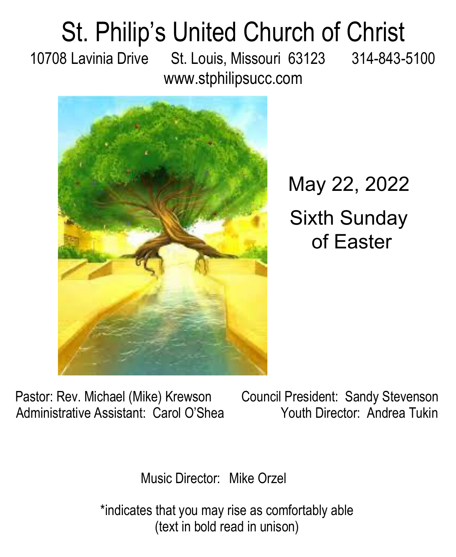## St. Philip's United Church of Christ 10708 Lavinia Drive St. Louis, Missouri 63123 314-843-5100

www.stphilipsucc.com



May 22, 2022 Sixth Sunday of Easter

Pastor: Rev. Michael (Mike) Krewson Council President: Sandy Stevenson Administrative Assistant: Carol O'Shea Youth Director: Andrea Tukin

Music Director: Mike Orzel

\*indicates that you may rise as comfortably able (text in bold read in unison)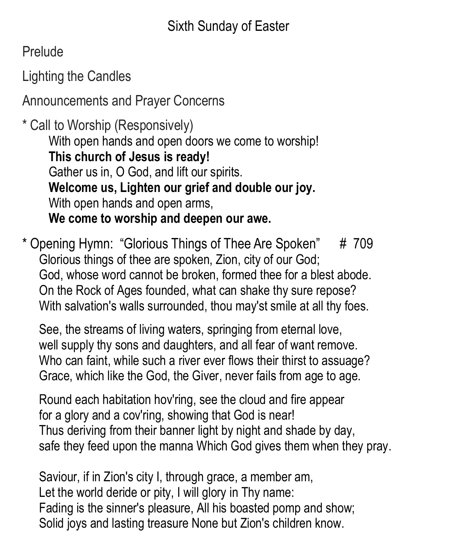Prelude

Lighting the Candles

Announcements and Prayer Concerns

\* Call to Worship (Responsively) With open hands and open doors we come to worship! **This church of Jesus is ready!** Gather us in, O God, and lift our spirits. **Welcome us, Lighten our grief and double our joy.** With open hands and open arms, **We come to worship and deepen our awe.**

\* Opening Hymn: "Glorious Things of Thee Are Spoken" # 709 Glorious things of thee are spoken, Zion, city of our God; God, whose word cannot be broken, formed thee for a blest abode. On the Rock of Ages founded, what can shake thy sure repose? With salvation's walls surrounded, thou may'st smile at all thy foes.

See, the streams of living waters, springing from eternal love, well supply thy sons and daughters, and all fear of want remove. Who can faint, while such a river ever flows their thirst to assuage? Grace, which like the God, the Giver, never fails from age to age.

Round each habitation hov'ring, see the cloud and fire appear for a glory and a cov'ring, showing that God is near! Thus deriving from their banner light by night and shade by day, safe they feed upon the manna Which God gives them when they pray.

Saviour, if in Zion's city I, through grace, a member am, Let the world deride or pity, I will glory in Thy name: Fading is the sinner's pleasure, All his boasted pomp and show; Solid joys and lasting treasure None but Zion's children know.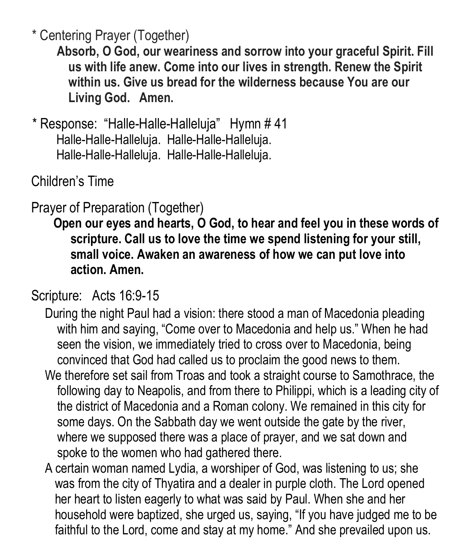\* Centering Prayer (Together)

**Absorb, O God, our weariness and sorrow into your graceful Spirit. Fill us with life anew. Come into our lives in strength. Renew the Spirit within us. Give us bread for the wilderness because You are our Living God. Amen.**

\* Response: "Halle-Halle-Halleluja" Hymn # 41 Halle-Halle-Halleluja. Halle-Halle-Halleluja. Halle-Halle-Halleluja. Halle-Halle-Halleluja.

Children's Time

## Prayer of Preparation (Together)

**Open our eyes and hearts, O God, to hear and feel you in these words of scripture. Call us to love the time we spend listening for your still, small voice. Awaken an awareness of how we can put love into action. Amen.**

#### Scripture: Acts 16:9-15

- During the night Paul had a vision: there stood a man of Macedonia pleading with him and saying, "Come over to Macedonia and help us." When he had seen the vision, we immediately tried to cross over to Macedonia, being convinced that God had called us to proclaim the good news to them.
- We therefore set sail from Troas and took a straight course to Samothrace, the following day to Neapolis, and from there to Philippi, which is a leading city of the district of Macedonia and a Roman colony. We remained in this city for some days. On the Sabbath day we went outside the gate by the river, where we supposed there was a place of prayer, and we sat down and spoke to the women who had gathered there.
- A certain woman named Lydia, a worshiper of God, was listening to us; she was from the city of Thyatira and a dealer in purple cloth. The Lord opened her heart to listen eagerly to what was said by Paul. When she and her household were baptized, she urged us, saying, "If you have judged me to be faithful to the Lord, come and stay at my home." And she prevailed upon us.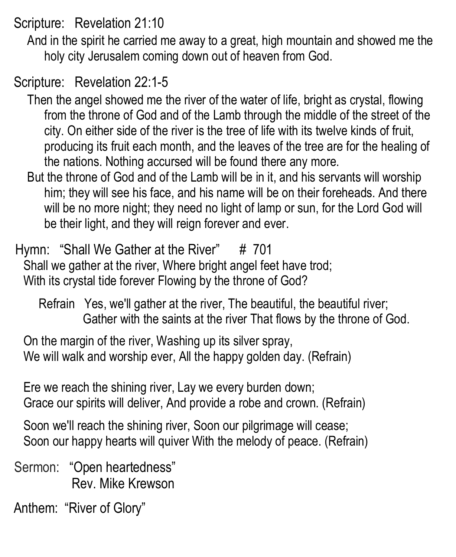Scripture: Revelation 21:10

And in the spirit he carried me away to a great, high mountain and showed me the holy city Jerusalem coming down out of heaven from God.

Scripture: Revelation 22:1-5

Then the angel showed me the river of the water of life, bright as crystal, flowing from the throne of God and of the Lamb through the middle of the street of the city. On either side of the river is the tree of life with its twelve kinds of fruit, producing its fruit each month, and the leaves of the tree are for the healing of the nations. Nothing accursed will be found there any more.

But the throne of God and of the Lamb will be in it, and his servants will worship him; they will see his face, and his name will be on their foreheads. And there will be no more night; they need no light of lamp or sun, for the Lord God will be their light, and they will reign forever and ever.

Hymn: "Shall We Gather at the River"  $\#$  701 Shall we gather at the river, Where bright angel feet have trod; With its crystal tide forever Flowing by the throne of God?

Refrain Yes, we'll gather at the river, The beautiful, the beautiful river; Gather with the saints at the river That flows by the throne of God.

On the margin of the river, Washing up its silver spray, We will walk and worship ever, All the happy golden day. (Refrain)

Ere we reach the shining river, Lay we every burden down; Grace our spirits will deliver, And provide a robe and crown. (Refrain)

Soon we'll reach the shining river, Soon our pilgrimage will cease; Soon our happy hearts will quiver With the melody of peace. (Refrain)

Sermon: "Open heartedness" Rev. Mike Krewson

Anthem: "River of Glory"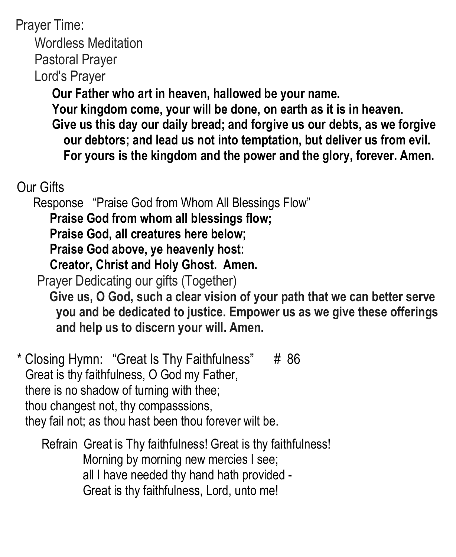Prayer Time: Wordless Meditation Pastoral Prayer Lord's Prayer **Our Father who art in heaven, hallowed be your name. Your kingdom come, your will be done, on earth as it is in heaven. Give us this day our daily bread; and forgive us our debts, as we forgive** 

- **our debtors; and lead us not into temptation, but deliver us from evil.**
- **For yours is the kingdom and the power and the glory, forever. Amen.**

## Our Gifts

Response "Praise God from Whom All Blessings Flow"

**Praise God from whom all blessings flow;** 

**Praise God, all creatures here below;**

**Praise God above, ye heavenly host:** 

**Creator, Christ and Holy Ghost. Amen.**

Prayer Dedicating our gifts (Together)

**Give us, O God, such a clear vision of your path that we can better serve you and be dedicated to justice. Empower us as we give these offerings and help us to discern your will. Amen.**

\* Closing Hymn: "Great Is Thy Faithfulness" # 86 Great is thy faithfulness, O God my Father, there is no shadow of turning with thee; thou changest not, thy compasssions, they fail not; as thou hast been thou forever wilt be.

Refrain Great is Thy faithfulness! Great is thy faithfulness! Morning by morning new mercies I see; all I have needed thy hand hath provided - Great is thy faithfulness, Lord, unto me!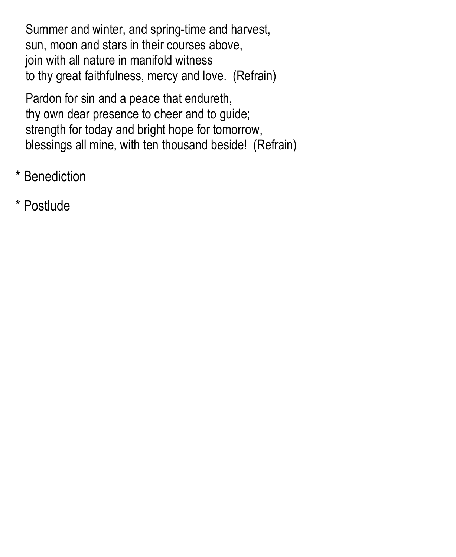Summer and winter, and spring-time and harvest, sun, moon and stars in their courses above, join with all nature in manifold witness to thy great faithfulness, mercy and love. (Refrain)

Pardon for sin and a peace that endureth, thy own dear presence to cheer and to guide; strength for today and bright hope for tomorrow, blessings all mine, with ten thousand beside! (Refrain)

- \* Benediction
- \* Postlude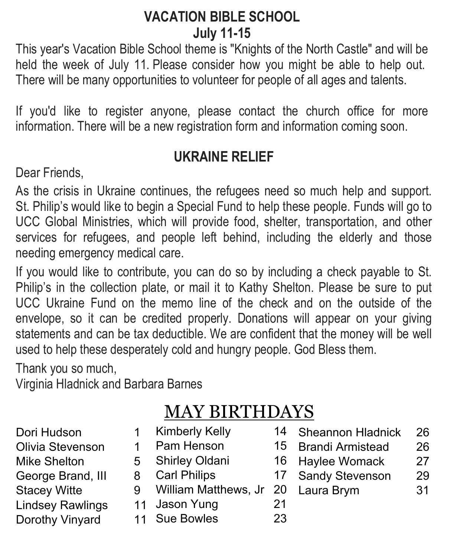## **VACATION BIBLE SCHOOL July 11-15**

This year's Vacation Bible School theme is "Knights of the North Castle" and will be held the week of July 11. Please consider how you might be able to help out. There will be many opportunities to volunteer for people of all ages and talents.

If you'd like to register anyone, please contact the church office for more information. There will be a new registration form and information coming soon.

## **UKRAINE RELIEF**

Dear Friends,

As the crisis in Ukraine continues, the refugees need so much help and support. St. Philip's would like to begin a Special Fund to help these people. Funds will go to UCC Global Ministries, which will provide food, shelter, transportation, and other services for refugees, and people left behind, including the elderly and those needing emergency medical care.

If you would like to contribute, you can do so by including a check payable to St. Philip's in the collection plate, or mail it to Kathy Shelton. Please be sure to put UCC Ukraine Fund on the memo line of the check and on the outside of the envelope, so it can be credited properly. Donations will appear on your giving statements and can be tax deductible. We are confident that the money will be well used to help these desperately cold and hungry people. God Bless them.

Thank you so much,

Virginia Hladnick and Barbara Barnes

## MAY BIRTHDAYS

- Dori Hudson 1 Olivia Stevenson 1 Mike Shelton 5 George Brand, III 8 Stacey Witte 9 **Lindsey Rawlings** Dorothy Vinyard
- Kimberly Kelly 14
	- Pam Henson 15
	- Shirley Oldani 16
	- Carl Philips 17
	- William Matthews, Jr 20
	- 11 Jason Yung 21
	- 11 Sue Bowles 23
- Sheannon Hladnick 26
- Brandi Armistead 26
- Haylee Womack 27
- Sandy Stevenson 29
- Laura Brym 31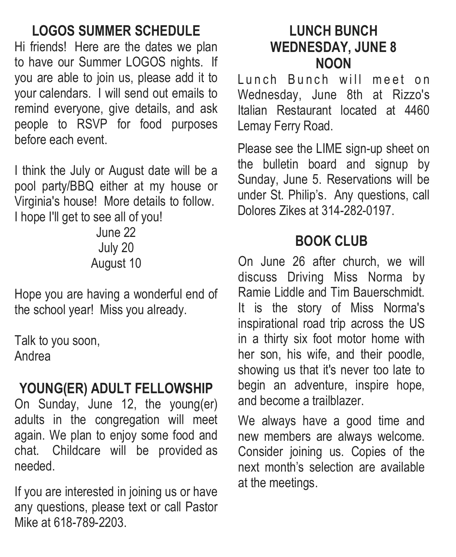## **LOGOS SUMMER SCHEDULE**

Hi friends! Here are the dates we plan to have our Summer LOGOS nights. If you are able to join us, please add it to your calendars. I will send out emails to remind everyone, give details, and ask people to RSVP for food purposes before each event.

I think the July or August date will be a pool party/BBQ either at my house or Virginia's house! More details to follow. I hope I'll get to see all of you!

> June 22 July 20 August 10

Hope you are having a wonderful end of the school year! Miss you already.

Talk to you soon, Andrea

## **YOUNG(ER) ADULT FELLOWSHIP**

On Sunday, June 12, the young(er) adults in the congregation will meet again. We plan to enjoy some food and chat. Childcare will be provided as needed.

If you are interested in joining us or have any questions, please text or call Pastor Mike at 618-789-2203.

### **LUNCH BUNCH WEDNESDAY, JUNE 8 NOON**

Lunch Bunch will meet on Wednesday, June 8th at Rizzo's Italian Restaurant located at 4460 Lemay Ferry Road.

Please see the LIME sign-up sheet on the bulletin board and signup by Sunday, June 5. Reservations will be under St. Philip's. Any questions, call Dolores Zikes at 314-282-0197.

## **BOOK CLUB**

On June 26 after church, we will discuss Driving Miss Norma by Ramie Liddle and Tim Bauerschmidt. It is the story of Miss Norma's inspirational road trip across the US in a thirty six foot motor home with her son, his wife, and their poodle, showing us that it's never too late to begin an adventure, inspire hope, and become a trailblazer.

We always have a good time and new members are always welcome. Consider joining us. Copies of the next month's selection are available at the meetings.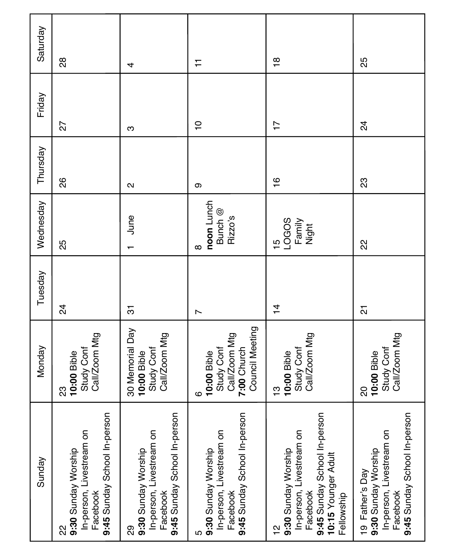| Saturday  | 88                                                                                                 | 4                                                                                                | ∓                                                                                                | $\frac{8}{1}$                                                                                                                         | 25                                                                                                             |
|-----------|----------------------------------------------------------------------------------------------------|--------------------------------------------------------------------------------------------------|--------------------------------------------------------------------------------------------------|---------------------------------------------------------------------------------------------------------------------------------------|----------------------------------------------------------------------------------------------------------------|
| Friday    | 27                                                                                                 | ო                                                                                                | $\frac{1}{2}$                                                                                    | $\overline{1}$                                                                                                                        | $\overline{2}$                                                                                                 |
| Thursday  | 88                                                                                                 | $\mathbf{\Omega}$                                                                                | တ                                                                                                | $\frac{6}{1}$                                                                                                                         | 23                                                                                                             |
| Wednesday | 25                                                                                                 | June<br>$\overline{\phantom{0}}$                                                                 | noon Lunch<br>Bunch @<br>Rizzo's<br>∞                                                            | LOGOS<br>Family<br>Night<br>$\frac{5}{1}$                                                                                             | 22                                                                                                             |
| Tuesday   | $\overline{2}$                                                                                     | $\overline{5}$                                                                                   | $\overline{ }$                                                                                   | $\frac{4}{1}$                                                                                                                         | $\overline{\mathcal{S}}$                                                                                       |
| Monday    | Call/Zoom Mtg<br>Study Conf<br>10:00 Bible<br>ಔ                                                    | 30 Memorial Day<br>Call/Zoom Mtg<br>Study Conf<br>10:00 Bible                                    | Council Meeting<br>Call/Zoom Mtg<br>7:00 Church<br><b>Study Conf</b><br>10:00 Bible<br>ဖ         | Call/Zoom Mtg<br>Study Conf<br>10:00 Bible<br>ဗု                                                                                      | Call/Zoom Mtg<br>Study Conf<br>10:00 Bible<br>ସ                                                                |
| Sunday    | 9:45 Sunday School In-person<br>In-person, Livestream on<br>9:30 Sunday Worship<br>Facebook<br>လ္လ | 9:45 Sunday School In-person<br>In-person, Livestream on<br>9:30 Sunday Worship<br>Facebook<br>ଅ | 9:45 Sunday School In-person<br>In-person, Livestream on<br>9:30 Sunday Worship<br>Facebook<br>ഥ | 9:45 Sunday School In-person<br>In-person, Livestream on<br>9:30 Sunday Worship<br>10:15 Younger Adult<br>Facebook<br>Fellowship<br>은 | 9:45 Sunday School In-person<br>In-person, Livestream on<br>9:30 Sunday Worship<br>19 Father's Day<br>Facebook |